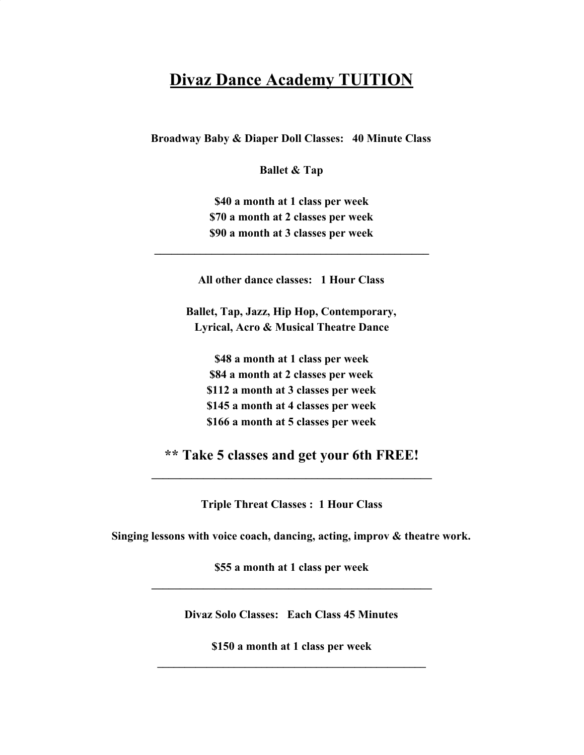## **Divaz Dance Academy TUITION**

**Broadway Baby & Diaper Doll Classes: 40 Minute Class**

**Ballet & Tap**

**\$40 a month at 1 class per week \$70 a month at 2 classes per week \$90 a month at 3 classes per week**

**All other dance classes: 1 Hour Class**

**\_\_\_\_\_\_\_\_\_\_\_\_\_\_\_\_\_\_\_\_\_\_\_\_\_\_\_\_\_\_\_\_\_\_\_\_\_\_\_\_\_\_\_\_\_\_\_\_**

**Ballet, Tap, Jazz, Hip Hop, Contemporary, Lyrical, Acro & Musical Theatre Dance**

**\$48 a month at 1 class per week \$84 a month at 2 classes per week \$112 a month at 3 classes per week \$145 a month at 4 classes per week \$166 a month at 5 classes per week**

**\*\* Take 5 classes and get your 6th FREE! \_\_\_\_\_\_\_\_\_\_\_\_\_\_\_\_\_\_\_\_\_\_\_\_\_\_\_\_\_\_\_\_\_\_\_\_\_\_\_\_\_\_\_\_\_\_\_\_\_**

**Triple Threat Classes : 1 Hour Class**

**Singing lessons with voice coach, dancing, acting, improv & theatre work.**

**\$55 a month at 1 class per week \_\_\_\_\_\_\_\_\_\_\_\_\_\_\_\_\_\_\_\_\_\_\_\_\_\_\_\_\_\_\_\_\_\_\_\_\_\_\_\_\_\_\_\_\_\_\_\_\_**

**Divaz Solo Classes: Each Class 45 Minutes**

**\$150 a month at 1 class per week \_\_\_\_\_\_\_\_\_\_\_\_\_\_\_\_\_\_\_\_\_\_\_\_\_\_\_\_\_\_\_\_\_\_\_\_\_\_\_\_\_\_\_\_\_\_\_\_\_**